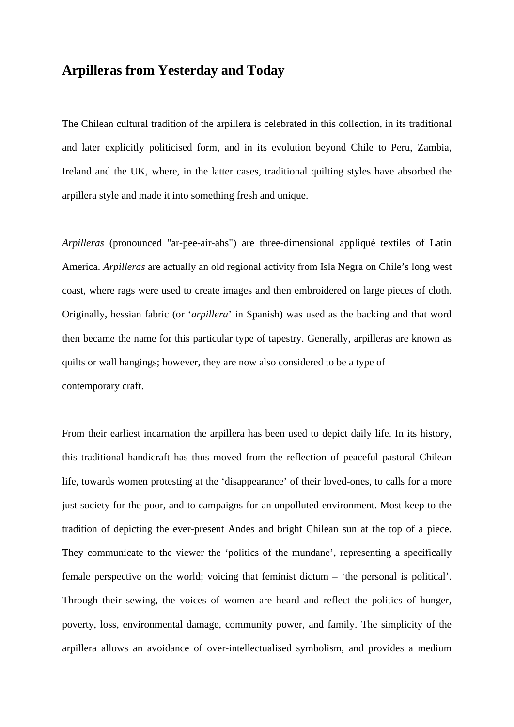## **Arpilleras from Yesterday and Today**

The Chilean cultural tradition of the arpillera is celebrated in this collection, in its traditional and later explicitly politicised form, and in its evolution beyond Chile to Peru, Zambia, Ireland and the UK, where, in the latter cases, traditional quilting styles have absorbed the arpillera style and made it into something fresh and unique.

*Arpilleras* (pronounced "ar-pee-air-ahs") are three-dimensional appliqué textiles of Latin America. *Arpilleras* are actually an old regional activity from Isla Negra on Chile's long west coast, where rags were used to create images and then embroidered on large pieces of cloth. Originally, hessian fabric (or '*arpillera*' in Spanish) was used as the backing and that word then became the name for this particular type of tapestry. Generally, arpilleras are known as quilts or wall hangings; however, they are now also considered to be a type of contemporary craft.

From their earliest incarnation the arpillera has been used to depict daily life. In its history, this traditional handicraft has thus moved from the reflection of peaceful pastoral Chilean life, towards women protesting at the 'disappearance' of their loved-ones, to calls for a more just society for the poor, and to campaigns for an unpolluted environment. Most keep to the tradition of depicting the ever-present Andes and bright Chilean sun at the top of a piece. They communicate to the viewer the 'politics of the mundane', representing a specifically female perspective on the world; voicing that feminist dictum – 'the personal is political'. Through their sewing, the voices of women are heard and reflect the politics of hunger, poverty, loss, environmental damage, community power, and family. The simplicity of the arpillera allows an avoidance of over-intellectualised symbolism, and provides a medium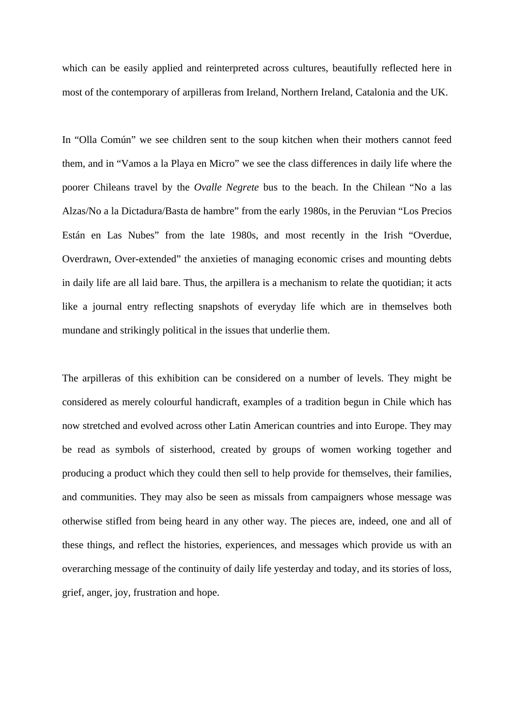which can be easily applied and reinterpreted across cultures, beautifully reflected here in most of the contemporary of arpilleras from Ireland, Northern Ireland, Catalonia and the UK.

In "Olla Común" we see children sent to the soup kitchen when their mothers cannot feed them, and in "Vamos a la Playa en Micro" we see the class differences in daily life where the poorer Chileans travel by the *Ovalle Negrete* bus to the beach. In the Chilean "No a las Alzas/No a la Dictadura/Basta de hambre" from the early 1980s, in the Peruvian "Los Precios Están en Las Nubes" from the late 1980s, and most recently in the Irish "Overdue, Overdrawn, Over-extended" the anxieties of managing economic crises and mounting debts in daily life are all laid bare. Thus, the arpillera is a mechanism to relate the quotidian; it acts like a journal entry reflecting snapshots of everyday life which are in themselves both mundane and strikingly political in the issues that underlie them.

The arpilleras of this exhibition can be considered on a number of levels. They might be considered as merely colourful handicraft, examples of a tradition begun in Chile which has now stretched and evolved across other Latin American countries and into Europe. They may be read as symbols of sisterhood, created by groups of women working together and producing a product which they could then sell to help provide for themselves, their families, and communities. They may also be seen as missals from campaigners whose message was otherwise stifled from being heard in any other way. The pieces are, indeed, one and all of these things, and reflect the histories, experiences, and messages which provide us with an overarching message of the continuity of daily life yesterday and today, and its stories of loss, grief, anger, joy, frustration and hope.